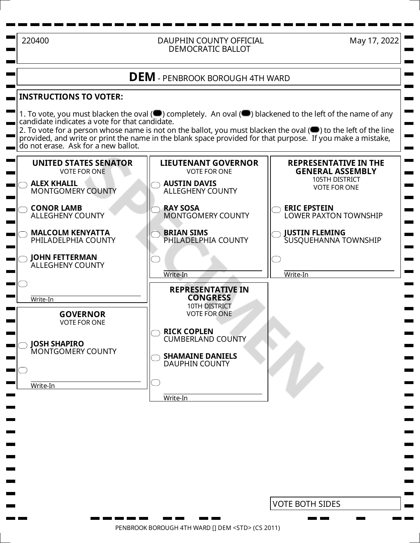## 220400 DAUPHIN COUNTY OFFICIAL DEMOCRATIC BALLOT

May 17, 2022

## **DEM** - PENBROOK BOROUGH 4TH WARD

## **INSTRUCTIONS TO VOTER:**

1. To vote, you must blacken the oval ( $\blacksquare$ ) completely. An oval ( $\blacksquare$ ) blackened to the left of the name of any candidate indicates a vote for that candidate.

2. To vote for a person whose name is not on the ballot, you must blacken the oval  $(\bullet)$  to the left of the line provided, and write or print the name in the blank space provided for that purpose. If you make a mistake, do not erase. Ask for a new ballot.